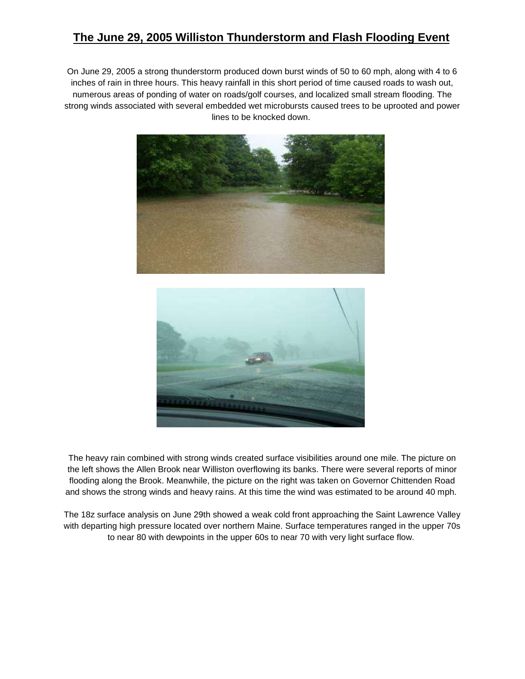## **The June 29, 2005 Williston Thunderstorm and Flash Flooding Event**

On June 29, 2005 a strong thunderstorm produced down burst winds of 50 to 60 mph, along with 4 to 6 inches of rain in three hours. This heavy rainfall in this short period of time caused roads to wash out, numerous areas of ponding of water on roads/golf courses, and localized small stream flooding. The strong winds associated with several embedded wet microbursts caused trees to be uprooted and power lines to be knocked down.





The heavy rain combined with strong winds created surface visibilities around one mile. The picture on the left shows the Allen Brook near Williston overflowing its banks. There were several reports of minor flooding along the Brook. Meanwhile, the picture on the right was taken on Governor Chittenden Road and shows the strong winds and heavy rains. At this time the wind was estimated to be around 40 mph.

The 18z surface analysis on June 29th showed a weak cold front approaching the Saint Lawrence Valley with departing high pressure located over northern Maine. Surface temperatures ranged in the upper 70s to near 80 with dewpoints in the upper 60s to near 70 with very light surface flow.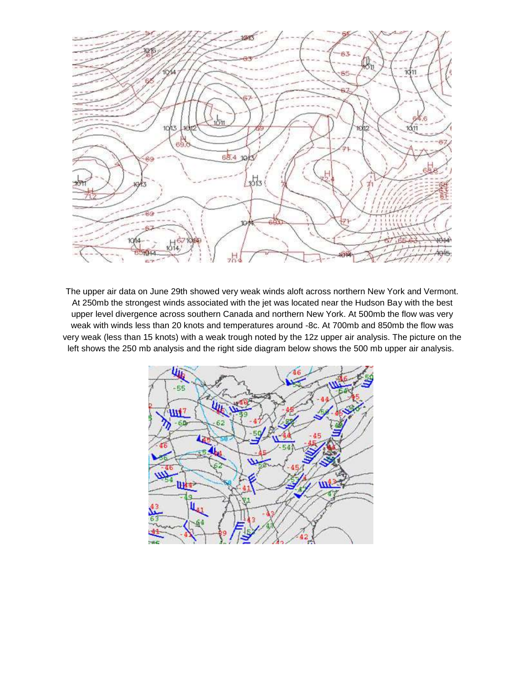

The upper air data on June 29th showed very weak winds aloft across northern New York and Vermont. At 250mb the strongest winds associated with the jet was located near the Hudson Bay with the best upper level divergence across southern Canada and northern New York. At 500mb the flow was very weak with winds less than 20 knots and temperatures around -8c. At 700mb and 850mb the flow was very weak (less than 15 knots) with a weak trough noted by the 12z upper air analysis. The picture on the left shows the 250 mb analysis and the right side diagram below shows the 500 mb upper air analysis.

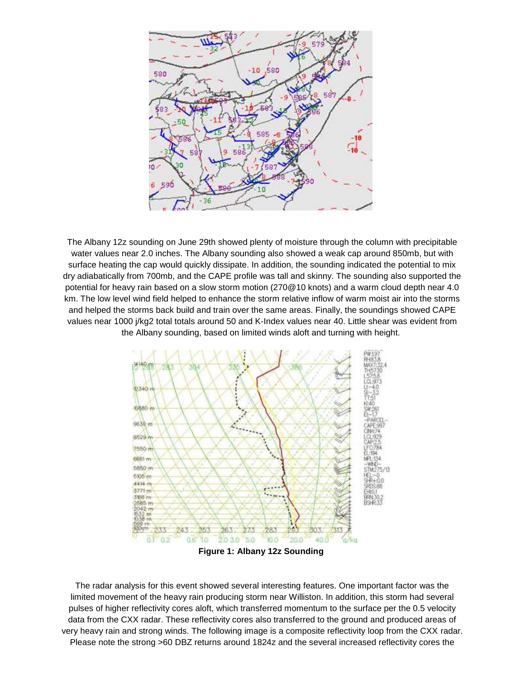

The Albany 12z sounding on June 29th showed plenty of moisture through the column with precipitable water values near 2.0 inches. The Albany sounding also showed a weak cap around 850mb, but with surface heating the cap would quickly dissipate. In addition, the sounding indicated the potential to mix dry adiabatically from 700mb, and the CAPE profile was tall and skinny. The sounding also supported the potential for heavy rain based on a slow storm motion (270@10 knots) and a warm cloud depth near 4.0 km. The low level wind field helped to enhance the storm relative inflow of warm moist air into the storms and helped the storms back build and train over the same areas. Finally, the soundings showed CAPE values near 1000 j/kg2 total totals around 50 and K-Index values near 40. Little shear was evident from the Albany sounding, based on limited winds aloft and turning with height.



**Figure 1: Albany 12z Sounding**

The radar analysis for this event showed several interesting features. One important factor was the limited movement of the heavy rain producing storm near Williston. In addition, this storm had several pulses of higher reflectivity cores aloft, which transferred momentum to the surface per the 0.5 velocity data from the CXX radar. These reflectivity cores also transferred to the ground and produced areas of very heavy rain and strong winds. The following image is a composite reflectivity loop from the CXX radar. Please note the strong >60 DBZ returns around 1824z and the several increased reflectivity cores the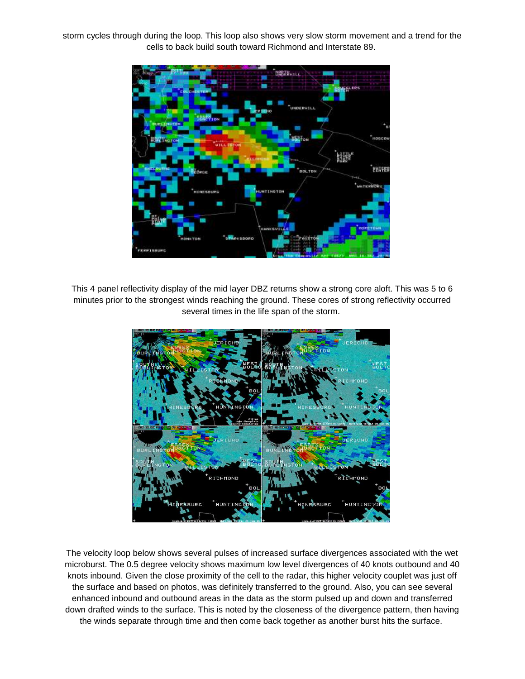storm cycles through during the loop. This loop also shows very slow storm movement and a trend for the cells to back build south toward Richmond and Interstate 89.



This 4 panel reflectivity display of the mid layer DBZ returns show a strong core aloft. This was 5 to 6 minutes prior to the strongest winds reaching the ground. These cores of strong reflectivity occurred several times in the life span of the storm.



The velocity loop below shows several pulses of increased surface divergences associated with the wet microburst. The 0.5 degree velocity shows maximum low level divergences of 40 knots outbound and 40 knots inbound. Given the close proximity of the cell to the radar, this higher velocity couplet was just off the surface and based on photos, was definitely transferred to the ground. Also, you can see several enhanced inbound and outbound areas in the data as the storm pulsed up and down and transferred down drafted winds to the surface. This is noted by the closeness of the divergence pattern, then having the winds separate through time and then come back together as another burst hits the surface.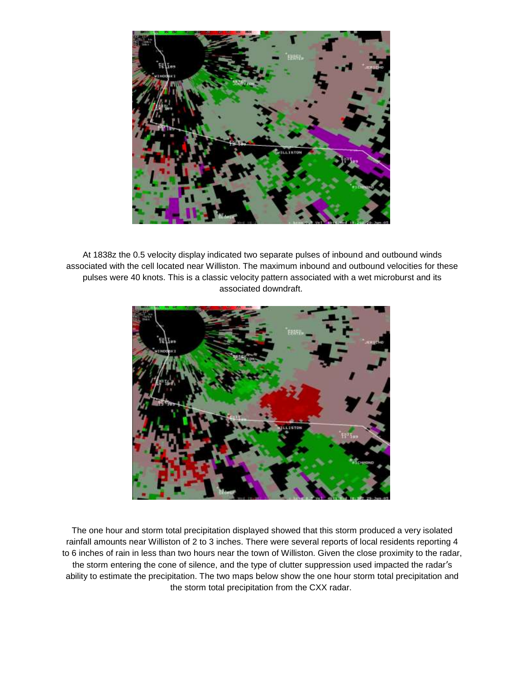

At 1838z the 0.5 velocity display indicated two separate pulses of inbound and outbound winds associated with the cell located near Williston. The maximum inbound and outbound velocities for these pulses were 40 knots. This is a classic velocity pattern associated with a wet microburst and its associated downdraft.



The one hour and storm total precipitation displayed showed that this storm produced a very isolated rainfall amounts near Williston of 2 to 3 inches. There were several reports of local residents reporting 4 to 6 inches of rain in less than two hours near the town of Williston. Given the close proximity to the radar, the storm entering the cone of silence, and the type of clutter suppression used impacted the radar's ability to estimate the precipitation. The two maps below show the one hour storm total precipitation and the storm total precipitation from the CXX radar.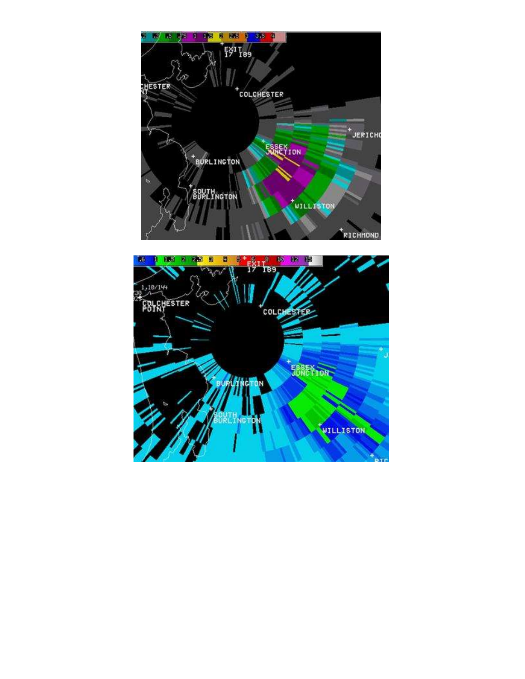

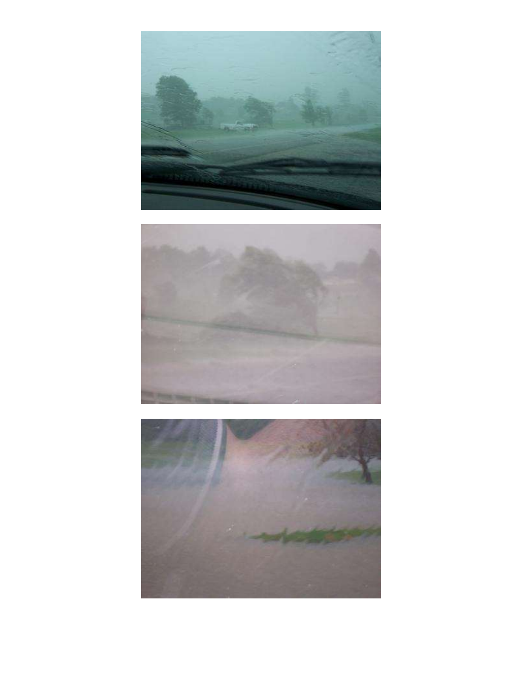